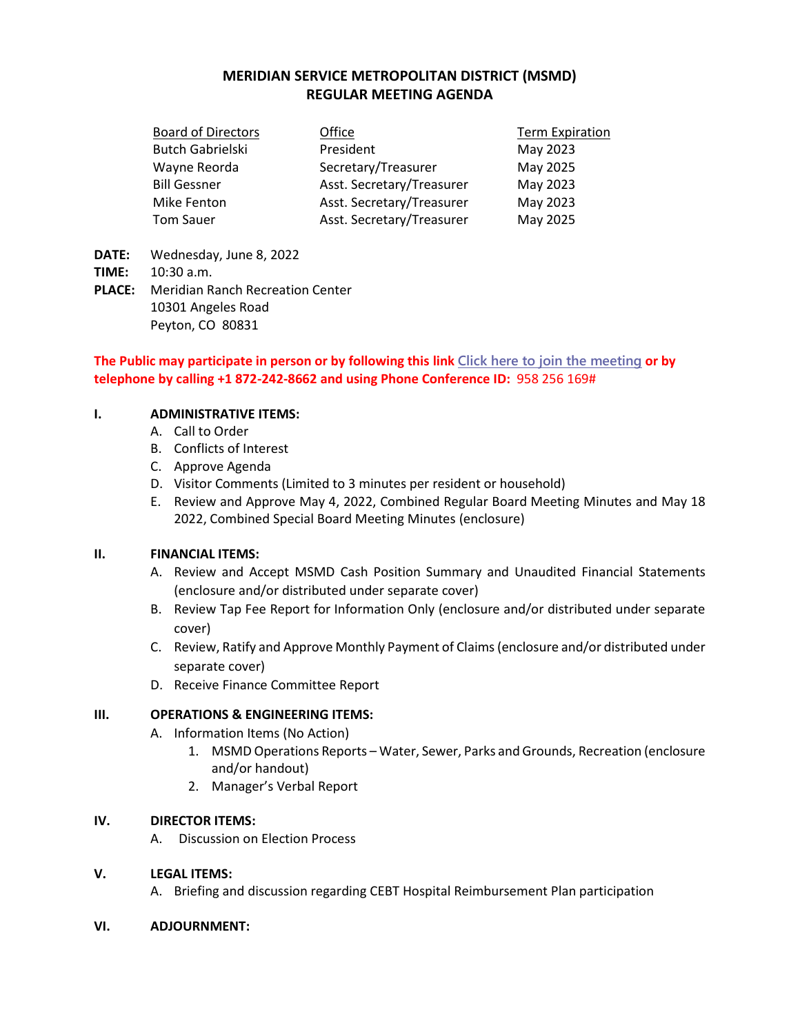# **MERIDIAN SERVICE METROPOLITAN DISTRICT (MSMD) REGULAR MEETING AGENDA**

| <b>Board of Directors</b> | Office                    | <b>Term Expiration</b> |
|---------------------------|---------------------------|------------------------|
| <b>Butch Gabrielski</b>   | President                 | May 2023               |
| Wayne Reorda              | Secretary/Treasurer       | May 2025               |
| <b>Bill Gessner</b>       | Asst. Secretary/Treasurer | May 2023               |
| Mike Fenton               | Asst. Secretary/Treasurer | May 2023               |
| <b>Tom Sauer</b>          | Asst. Secretary/Treasurer | May 2025               |

- **DATE:** Wednesday, June 8, 2022
- **TIME:** 10:30 a.m.
- **PLACE:** Meridian Ranch Recreation Center 10301 Angeles Road Peyton, CO 80831

## **The Public may participate in person or by following this link [Click here to join the meeting](https://teams.microsoft.com/l/meetup-join/19%3ameeting_Njk0ZDdmNzQtYjBjNC00OTEzLWI0YzMtNDczYmFmZWJkZGVh%40thread.v2/0?context=%7b%22Tid%22%3a%22ddbf1e07-ec1e-4dc6-8ef3-1a31c2da785b%22%2c%22Oid%22%3a%22778ad138-ba67-4d4d-bdb1-39557c30639d%22%7d) or by telephone by calling +1 872-242-8662 and using Phone Conference ID:** 958 256 169#

### **I. ADMINISTRATIVE ITEMS:**

- A. Call to Order
- B. Conflicts of Interest
- C. Approve Agenda
- D. Visitor Comments (Limited to 3 minutes per resident or household)
- E. Review and Approve May 4, 2022, Combined Regular Board Meeting Minutes and May 18 2022, Combined Special Board Meeting Minutes (enclosure)

### **II. FINANCIAL ITEMS:**

- A. Review and Accept MSMD Cash Position Summary and Unaudited Financial Statements (enclosure and/or distributed under separate cover)
- B. Review Tap Fee Report for Information Only (enclosure and/or distributed under separate cover)
- C. Review, Ratify and Approve Monthly Payment of Claims (enclosure and/or distributed under separate cover)
- D. Receive Finance Committee Report

### **III. OPERATIONS & ENGINEERING ITEMS:**

- A. Information Items (No Action)
	- 1. MSMD Operations Reports Water, Sewer, Parks and Grounds, Recreation (enclosure and/or handout)
	- 2. Manager's Verbal Report

### **IV. DIRECTOR ITEMS:**

A. Discussion on Election Process

### **V. LEGAL ITEMS:**

A. Briefing and discussion regarding CEBT Hospital Reimbursement Plan participation

#### **VI. ADJOURNMENT:**